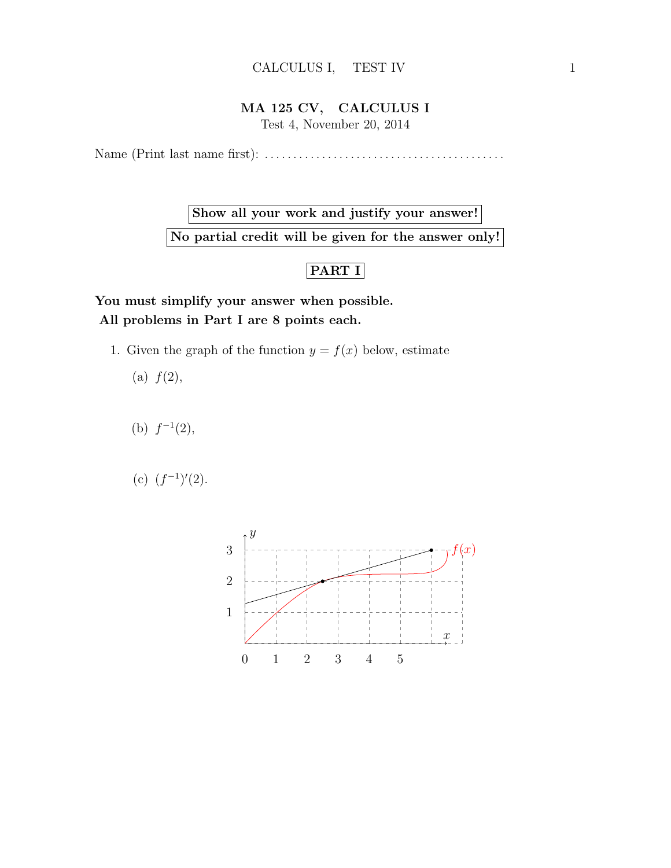## MA 125 CV, CALCULUS I

Test 4, November 20, 2014

Name (Print last name first): . . . . . . . . . . . . . . . . . . . . . . . . . . . . . . . . . . . . . . . . . .

Show all your work and justify your answer! No partial credit will be given for the answer only!

## PART I

You must simplify your answer when possible. All problems in Part I are 8 points each.

1. Given the graph of the function  $y = f(x)$  below, estimate

(a)  $f(2)$ ,

- (b)  $f^{-1}(2)$ ,
- (c)  $(f^{-1})'(2)$ .

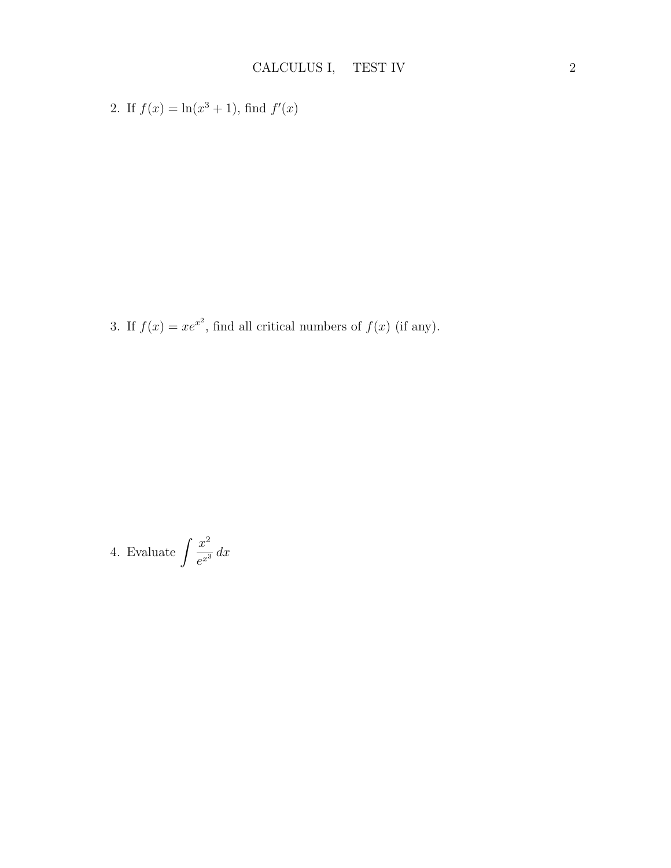2. If  $f(x) = \ln(x^3 + 1)$ , find  $f'(x)$ 

3. If  $f(x) = xe^{x^2}$ , find all critical numbers of  $f(x)$  (if any).

4. Evaluate 
$$
\int \frac{x^2}{e^{x^3}} dx
$$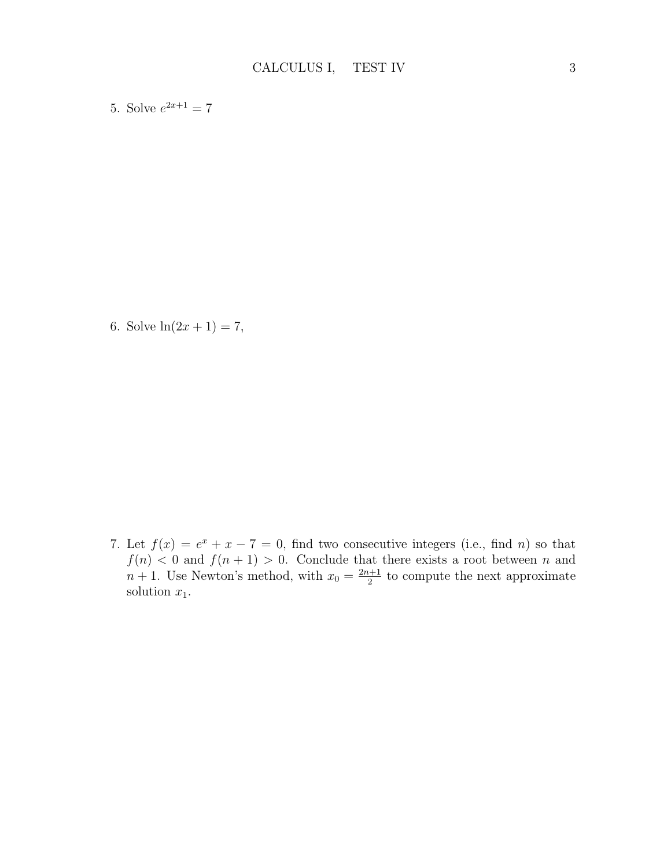5. Solve  $e^{2x+1} = 7$ 

6. Solve  $ln(2x + 1) = 7$ ,

7. Let  $f(x) = e^x + x - 7 = 0$ , find two consecutive integers (i.e., find n) so that  $f(n) < 0$  and  $f(n+1) > 0$ . Conclude that there exists a root between n and  $n+1$ . Use Newton's method, with  $x_0 = \frac{2n+1}{2}$  $\frac{a+1}{2}$  to compute the next approximate solution  $x_1$ .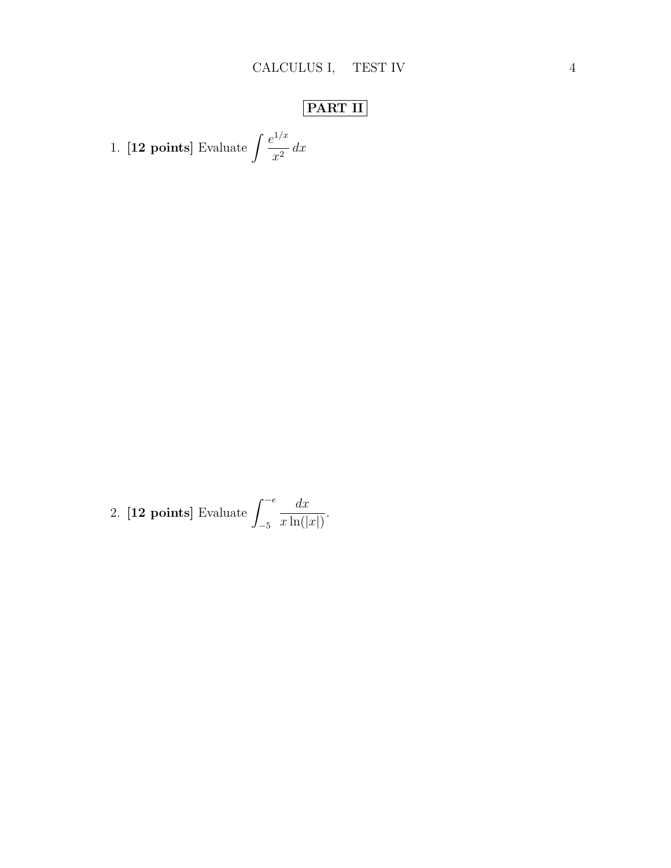## PART II

1. **[12 points]** Evaluate 
$$
\int \frac{e^{1/x}}{x^2} dx
$$

2. [12 points] Evaluate 
$$
\int_{-5}^{-e} \frac{dx}{x \ln(|x|)}.
$$